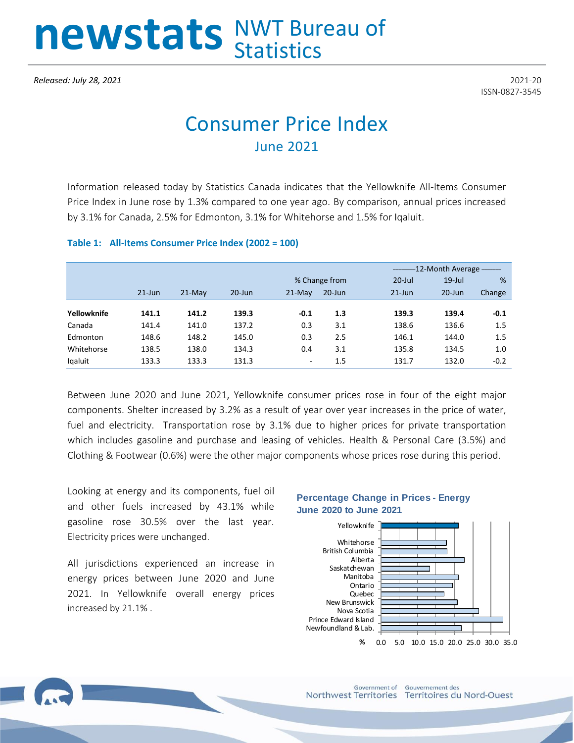# newstats NWT Bureau of

*Released: July 28, 2021* 2021-20

ISSN-0827-3545

# Consumer Price Index June 2021

Information released today by Statistics Canada indicates that the Yellowknife All-Items Consumer Price Index in June rose by 1.3% compared to one year ago. By comparison, annual prices increased by 3.1% for Canada, 2.5% for Edmonton, 3.1% for Whitehorse and 1.5% for Iqaluit.

### **Table 1: All-Items Consumer Price Index (2002 = 100)**

|             |           |          |            |          |               |           | -12-Month Average - |        |  |
|-------------|-----------|----------|------------|----------|---------------|-----------|---------------------|--------|--|
|             |           |          |            |          | % Change from | $20$ -Jul | $19$ -Jul           | %      |  |
|             | $21$ -Jun | $21-Mav$ | $20 - Jun$ | $21-Mav$ | $20$ -Jun     | $21$ -Jun | $20 - Jun$          | Change |  |
|             |           |          |            |          |               |           |                     |        |  |
| Yellowknife | 141.1     | 141.2    | 139.3      | $-0.1$   | 1.3           | 139.3     | 139.4               | $-0.1$ |  |
| Canada      | 141.4     | 141.0    | 137.2      | 0.3      | 3.1           | 138.6     | 136.6               | 1.5    |  |
| Edmonton    | 148.6     | 148.2    | 145.0      | 0.3      | 2.5           | 146.1     | 144.0               | 1.5    |  |
| Whitehorse  | 138.5     | 138.0    | 134.3      | 0.4      | 3.1           | 135.8     | 134.5               | 1.0    |  |
| Igaluit     | 133.3     | 133.3    | 131.3      | ٠        | 1.5           | 131.7     | 132.0               | $-0.2$ |  |

Between June 2020 and June 2021, Yellowknife consumer prices rose in four of the eight major components. Shelter increased by 3.2% as a result of year over year increases in the price of water, fuel and electricity. Transportation rose by 3.1% due to higher prices for private transportation which includes gasoline and purchase and leasing of vehicles. Health & Personal Care (3.5%) and Clothing & Footwear (0.6%) were the other major components whose prices rose during this period.

Looking at energy and its components, fuel oil and other fuels increased by 43.1% while gasoline rose 30.5% over the last year. Electricity prices were unchanged.

All jurisdictions experienced an increase in energy prices between June 2020 and June 2021. In Yellowknife overall energy prices increased by 21.1% .

## **Percentage Change in Prices - Energy June 2020 to June 2021**